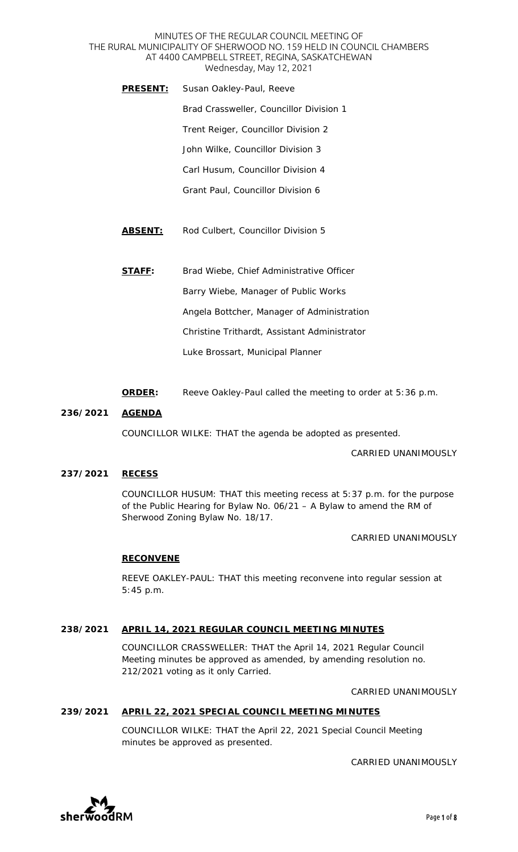#### MINUTES OF THE REGULAR COUNCIL MEETING OF THE RURAL MUNICIPALITY OF SHERWOOD NO. 159 HELD IN COUNCIL CHAMBERS AT 4400 CAMPBELL STREET, REGINA, SASKATCHEWAN Wednesday, May 12, 2021

- **PRESENT:** Susan Oakley-Paul, Reeve Brad Crassweller, Councillor Division 1 Trent Reiger, Councillor Division 2 John Wilke, Councillor Division 3 Carl Husum, Councillor Division 4 Grant Paul, Councillor Division 6
- **ABSENT:** Rod Culbert, Councillor Division 5
- **STAFF:** Brad Wiebe, Chief Administrative Officer Barry Wiebe, Manager of Public Works Angela Bottcher, Manager of Administration Christine Trithardt, Assistant Administrator Luke Brossart, Municipal Planner
- **ORDER:** Reeve Oakley-Paul called the meeting to order at 5:36 p.m.

## **236/2021 AGENDA**

COUNCILLOR WILKE: THAT the agenda be adopted as presented.

CARRIED UNANIMOUSLY

## **237/2021 RECESS**

COUNCILLOR HUSUM: THAT this meeting recess at 5:37 p.m. for the purpose of the Public Hearing for Bylaw No. 06/21 – A Bylaw to amend the RM of Sherwood Zoning Bylaw No. 18/17.

CARRIED UNANIMOUSLY

#### **RECONVENE**

REEVE OAKLEY-PAUL: THAT this meeting reconvene into regular session at 5:45 p.m.

#### **238/2021 APRIL 14, 2021 REGULAR COUNCIL MEETING MINUTES**

COUNCILLOR CRASSWELLER: THAT the April 14, 2021 Regular Council Meeting minutes be approved as amended, by amending resolution no. 212/2021 voting as it only Carried.

CARRIED UNANIMOUSLY

#### **239/2021 APRIL 22, 2021 SPECIAL COUNCIL MEETING MINUTES**

COUNCILLOR WILKE: THAT the April 22, 2021 Special Council Meeting minutes be approved as presented.

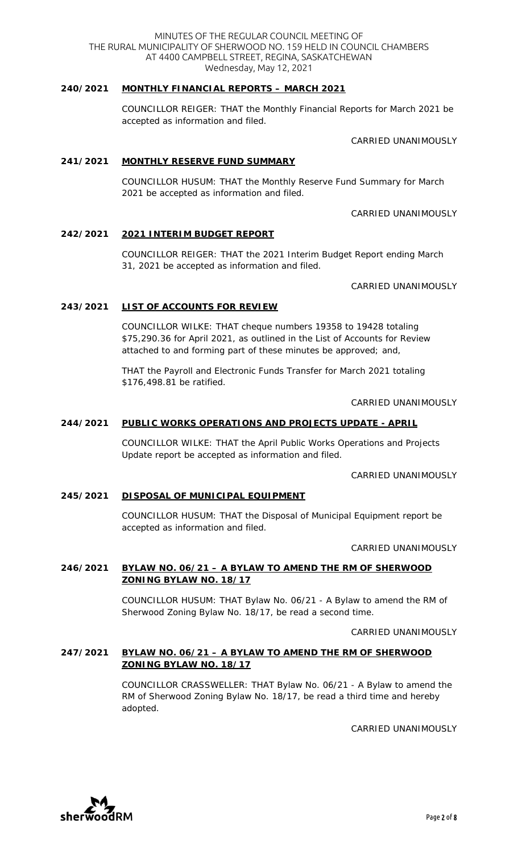## **240/2021 MONTHLY FINANCIAL REPORTS – MARCH 2021**

COUNCILLOR REIGER: THAT the Monthly Financial Reports for March 2021 be accepted as information and filed.

CARRIED UNANIMOUSLY

#### **241/2021 MONTHLY RESERVE FUND SUMMARY**

COUNCILLOR HUSUM: THAT the Monthly Reserve Fund Summary for March 2021 be accepted as information and filed.

CARRIED UNANIMOUSLY

#### **242/2021 2021 INTERIM BUDGET REPORT**

COUNCILLOR REIGER: THAT the 2021 Interim Budget Report ending March 31, 2021 be accepted as information and filed.

CARRIED UNANIMOUSLY

#### **243/2021 LIST OF ACCOUNTS FOR REVIEW**

COUNCILLOR WILKE: THAT cheque numbers 19358 to 19428 totaling \$75,290.36 for April 2021, as outlined in the List of Accounts for Review attached to and forming part of these minutes be approved; and,

THAT the Payroll and Electronic Funds Transfer for March 2021 totaling \$176,498.81 be ratified.

CARRIED UNANIMOUSLY

#### **244/2021 PUBLIC WORKS OPERATIONS AND PROJECTS UPDATE - APRIL**

COUNCILLOR WILKE: THAT the April Public Works Operations and Projects Update report be accepted as information and filed.

CARRIED UNANIMOUSLY

#### **245/2021 DISPOSAL OF MUNICIPAL EQUIPMENT**

COUNCILLOR HUSUM: THAT the Disposal of Municipal Equipment report be accepted as information and filed.

CARRIED UNANIMOUSLY

## **246/2021 BYLAW NO. 06/21 – A BYLAW TO AMEND THE RM OF SHERWOOD ZONING BYLAW NO. 18/17**

COUNCILLOR HUSUM: THAT Bylaw No. 06/21 - A Bylaw to amend the RM of Sherwood Zoning Bylaw No. 18/17, be read a second time.

CARRIED UNANIMOUSLY

### **247/2021 BYLAW NO. 06/21 – A BYLAW TO AMEND THE RM OF SHERWOOD ZONING BYLAW NO. 18/17**

COUNCILLOR CRASSWELLER: THAT Bylaw No. 06/21 - A Bylaw to amend the RM of Sherwood Zoning Bylaw No. 18/17, be read a third time and hereby adopted.

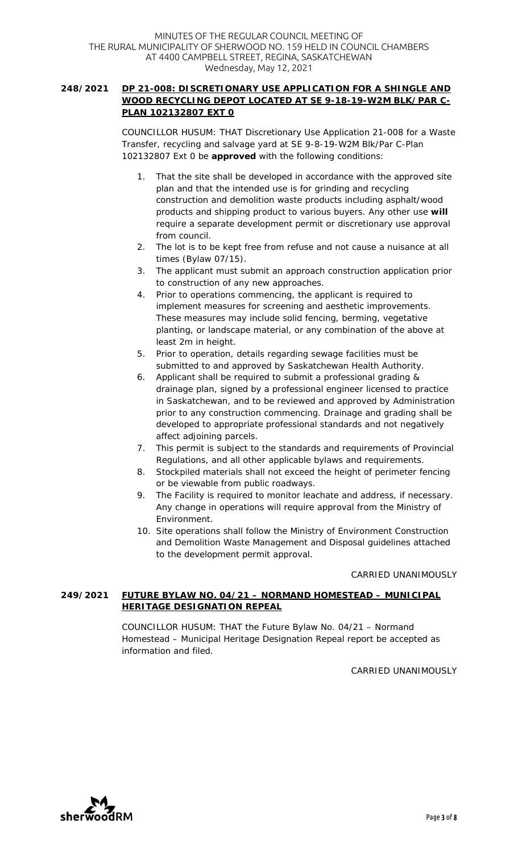## **248/2021 DP 21-008: DISCRETIONARY USE APPLICATION FOR A SHINGLE AND WOOD RECYCLING DEPOT LOCATED AT SE 9-18-19-W2M BLK/PAR C-PLAN 102132807 EXT 0**

COUNCILLOR HUSUM: THAT Discretionary Use Application 21-008 for a Waste Transfer, recycling and salvage yard at SE 9-8-19-W2M Blk/Par C-Plan 102132807 Ext 0 be **approved** with the following conditions:

- 1. That the site shall be developed in accordance with the approved site plan and that the intended use is for grinding and recycling construction and demolition waste products including asphalt/wood products and shipping product to various buyers. Any other use **will** require a separate development permit or discretionary use approval from council.
- 2. The lot is to be kept free from refuse and not cause a nuisance at all times (Bylaw 07/15).
- 3. The applicant must submit an approach construction application prior to construction of any new approaches.
- 4. Prior to operations commencing, the applicant is required to implement measures for screening and aesthetic improvements. These measures may include solid fencing, berming, vegetative planting, or landscape material, or any combination of the above at least 2m in height.
- 5. Prior to operation, details regarding sewage facilities must be submitted to and approved by Saskatchewan Health Authority.
- 6. Applicant shall be required to submit a professional grading & drainage plan, signed by a professional engineer licensed to practice in Saskatchewan, and to be reviewed and approved by Administration prior to any construction commencing. Drainage and grading shall be developed to appropriate professional standards and not negatively affect adjoining parcels.
- 7. This permit is subject to the standards and requirements of Provincial Regulations, and all other applicable bylaws and requirements.
- 8. Stockpiled materials shall not exceed the height of perimeter fencing or be viewable from public roadways.
- 9. The Facility is required to monitor leachate and address, if necessary. Any change in operations will require approval from the Ministry of Environment.
- 10. Site operations shall follow the Ministry of Environment Construction and Demolition Waste Management and Disposal guidelines attached to the development permit approval.

#### CARRIED UNANIMOUSLY

# **249/2021 FUTURE BYLAW NO. 04/21 – NORMAND HOMESTEAD – MUNICIPAL HERITAGE DESIGNATION REPEAL**

COUNCILLOR HUSUM: THAT the Future Bylaw No. 04/21 – Normand Homestead – Municipal Heritage Designation Repeal report be accepted as information and filed.

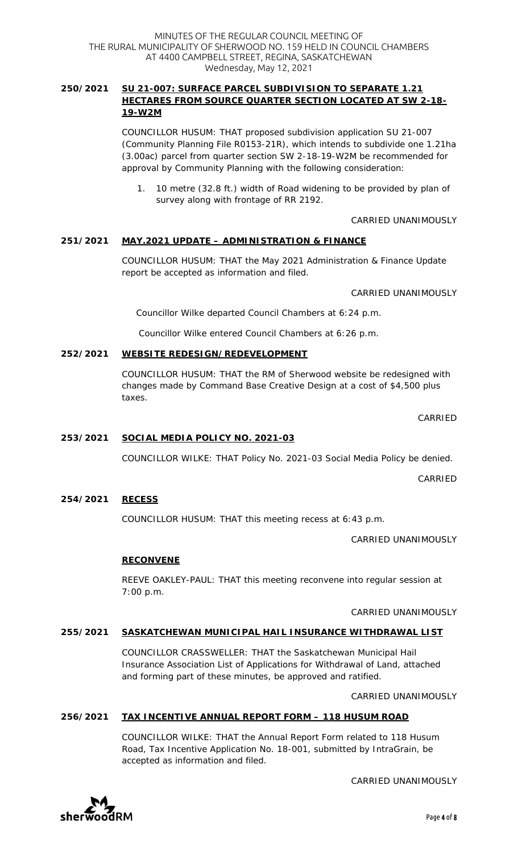## **250/2021 SU 21-007: SURFACE PARCEL SUBDIVISION TO SEPARATE 1.21 HECTARES FROM SOURCE QUARTER SECTION LOCATED AT SW 2-18- 19-W2M**

COUNCILLOR HUSUM: THAT proposed subdivision application SU 21-007 (Community Planning File R0153-21R), which intends to subdivide one 1.21ha (3.00ac) parcel from quarter section SW 2-18-19-W2M be recommended for approval by Community Planning with the following consideration:

1. 10 metre (32.8 ft.) width of Road widening to be provided by plan of survey along with frontage of RR 2192.

# CARRIED UNANIMOUSLY

# **251/2021 MAY.2021 UPDATE – ADMINISTRATION & FINANCE**

COUNCILLOR HUSUM: THAT the May 2021 Administration & Finance Update report be accepted as information and filed.

#### CARRIED UNANIMOUSLY

*Councillor Wilke departed Council Chambers at 6:24 p.m.* 

*Councillor Wilke entered Council Chambers at 6:26 p.m.* 

#### **252/2021 WEBSITE REDESIGN/REDEVELOPMENT**

COUNCILLOR HUSUM: THAT the RM of Sherwood website be redesigned with changes made by Command Base Creative Design at a cost of \$4,500 plus taxes.

CARRIED

## **253/2021 SOCIAL MEDIA POLICY NO. 2021-03**

COUNCILLOR WILKE: THAT Policy No. 2021-03 Social Media Policy be denied.

CARRIED

#### **254/2021 RECESS**

COUNCILLOR HUSUM: THAT this meeting recess at 6:43 p.m.

CARRIED UNANIMOUSLY

## **RECONVENE**

REEVE OAKLEY-PAUL: THAT this meeting reconvene into regular session at 7:00 p.m.

#### CARRIED UNANIMOUSLY

#### **255/2021 SASKATCHEWAN MUNICIPAL HAIL INSURANCE WITHDRAWAL LIST**

COUNCILLOR CRASSWELLER: THAT the Saskatchewan Municipal Hail Insurance Association List of Applications for Withdrawal of Land, attached and forming part of these minutes, be approved and ratified.

CARRIED UNANIMOUSLY

CARRIED UNANIMOUSLY

## **256/2021 TAX INCENTIVE ANNUAL REPORT FORM – 118 HUSUM ROAD**

COUNCILLOR WILKE: THAT the Annual Report Form related to 118 Husum Road, Tax Incentive Application No. 18-001, submitted by IntraGrain, be accepted as information and filed.

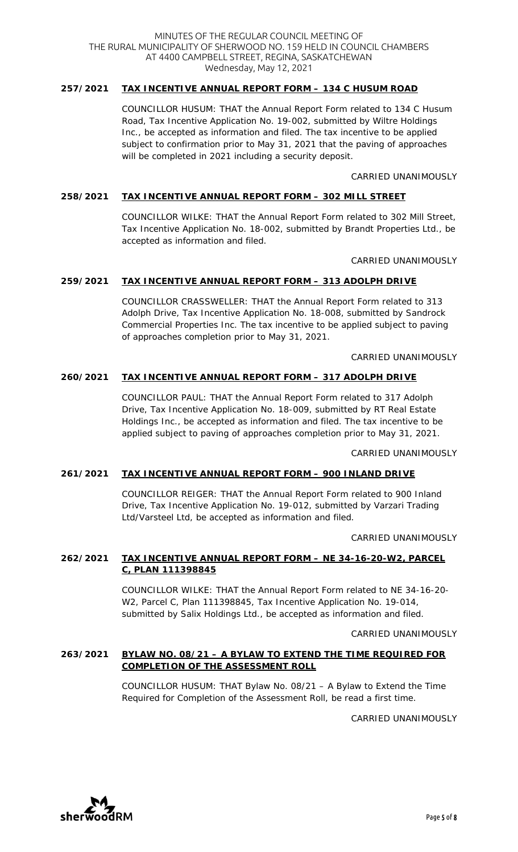#### MINUTES OF THE REGULAR COUNCIL MEETING OF THE RURAL MUNICIPALITY OF SHERWOOD NO. 159 HELD IN COUNCIL CHAMBERS AT 4400 CAMPBELL STREET, REGINA, SASKATCHEWAN Wednesday, May 12, 2021

## **257/2021 TAX INCENTIVE ANNUAL REPORT FORM – 134 C HUSUM ROAD**

COUNCILLOR HUSUM: THAT the Annual Report Form related to 134 C Husum Road, Tax Incentive Application No. 19-002, submitted by Wiltre Holdings Inc., be accepted as information and filed. The tax incentive to be applied subject to confirmation prior to May 31, 2021 that the paving of approaches will be completed in 2021 including a security deposit.

### CARRIED UNANIMOUSLY

### **258/2021 TAX INCENTIVE ANNUAL REPORT FORM – 302 MILL STREET**

COUNCILLOR WILKE: THAT the Annual Report Form related to 302 Mill Street, Tax Incentive Application No. 18-002, submitted by Brandt Properties Ltd., be accepted as information and filed.

CARRIED UNANIMOUSLY

## **259/2021 TAX INCENTIVE ANNUAL REPORT FORM – 313 ADOLPH DRIVE**

COUNCILLOR CRASSWELLER: THAT the Annual Report Form related to 313 Adolph Drive, Tax Incentive Application No. 18-008, submitted by Sandrock Commercial Properties Inc. The tax incentive to be applied subject to paving of approaches completion prior to May 31, 2021.

CARRIED UNANIMOUSLY

#### **260/2021 TAX INCENTIVE ANNUAL REPORT FORM – 317 ADOLPH DRIVE**

COUNCILLOR PAUL: THAT the Annual Report Form related to 317 Adolph Drive, Tax Incentive Application No. 18-009, submitted by RT Real Estate Holdings Inc., be accepted as information and filed. The tax incentive to be applied subject to paving of approaches completion prior to May 31, 2021.

CARRIED UNANIMOUSLY

#### **261/2021 TAX INCENTIVE ANNUAL REPORT FORM – 900 INLAND DRIVE**

COUNCILLOR REIGER: THAT the Annual Report Form related to 900 Inland Drive, Tax Incentive Application No. 19-012, submitted by Varzari Trading Ltd/Varsteel Ltd, be accepted as information and filed.

CARRIED UNANIMOUSLY

## **262/2021 TAX INCENTIVE ANNUAL REPORT FORM – NE 34-16-20-W2, PARCEL C, PLAN 111398845**

COUNCILLOR WILKE: THAT the Annual Report Form related to NE 34-16-20- W2, Parcel C, Plan 111398845, Tax Incentive Application No. 19-014, submitted by Salix Holdings Ltd., be accepted as information and filed.

#### CARRIED UNANIMOUSLY

## **263/2021 BYLAW NO. 08/21 – A BYLAW TO EXTEND THE TIME REQUIRED FOR COMPLETION OF THE ASSESSMENT ROLL**

COUNCILLOR HUSUM: THAT Bylaw No. 08/21 – A Bylaw to Extend the Time Required for Completion of the Assessment Roll, be read a first time.

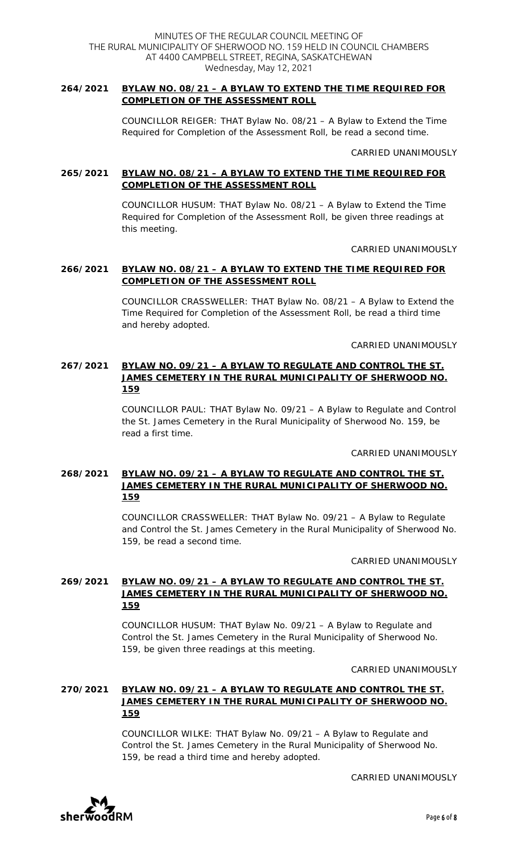#### **264/2021 BYLAW NO. 08/21 – A BYLAW TO EXTEND THE TIME REQUIRED FOR COMPLETION OF THE ASSESSMENT ROLL**

COUNCILLOR REIGER: THAT Bylaw No. 08/21 – A Bylaw to Extend the Time Required for Completion of the Assessment Roll, be read a second time.

CARRIED UNANIMOUSLY

## **265/2021 BYLAW NO. 08/21 – A BYLAW TO EXTEND THE TIME REQUIRED FOR COMPLETION OF THE ASSESSMENT ROLL**

COUNCILLOR HUSUM: THAT Bylaw No. 08/21 – A Bylaw to Extend the Time Required for Completion of the Assessment Roll, be given three readings at this meeting.

CARRIED UNANIMOUSLY

### **266/2021 BYLAW NO. 08/21 – A BYLAW TO EXTEND THE TIME REQUIRED FOR COMPLETION OF THE ASSESSMENT ROLL**

COUNCILLOR CRASSWELLER: THAT Bylaw No. 08/21 – A Bylaw to Extend the Time Required for Completion of the Assessment Roll, be read a third time and hereby adopted.

CARRIED UNANIMOUSLY

## **267/2021 BYLAW NO. 09/21 – A BYLAW TO REGULATE AND CONTROL THE ST. JAMES CEMETERY IN THE RURAL MUNICIPALITY OF SHERWOOD NO. 159**

COUNCILLOR PAUL: THAT Bylaw No. 09/21 – A Bylaw to Regulate and Control the St. James Cemetery in the Rural Municipality of Sherwood No. 159, be read a first time.

CARRIED UNANIMOUSLY

## **268/2021 BYLAW NO. 09/21 – A BYLAW TO REGULATE AND CONTROL THE ST. JAMES CEMETERY IN THE RURAL MUNICIPALITY OF SHERWOOD NO. 159**

COUNCILLOR CRASSWELLER: THAT Bylaw No. 09/21 – A Bylaw to Regulate and Control the St. James Cemetery in the Rural Municipality of Sherwood No. 159, be read a second time.

CARRIED UNANIMOUSLY

## **269/2021 BYLAW NO. 09/21 – A BYLAW TO REGULATE AND CONTROL THE ST. JAMES CEMETERY IN THE RURAL MUNICIPALITY OF SHERWOOD NO. 159**

COUNCILLOR HUSUM: THAT Bylaw No. 09/21 – A Bylaw to Regulate and Control the St. James Cemetery in the Rural Municipality of Sherwood No. 159, be given three readings at this meeting.

CARRIED UNANIMOUSLY

## **270/2021 BYLAW NO. 09/21 – A BYLAW TO REGULATE AND CONTROL THE ST. JAMES CEMETERY IN THE RURAL MUNICIPALITY OF SHERWOOD NO. 159**

COUNCILLOR WILKE: THAT Bylaw No. 09/21 – A Bylaw to Regulate and Control the St. James Cemetery in the Rural Municipality of Sherwood No. 159, be read a third time and hereby adopted.

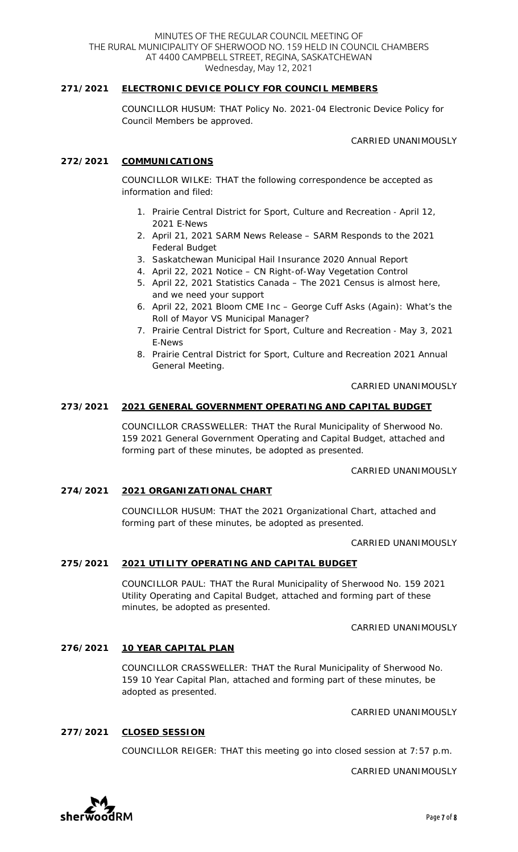#### **271/2021 ELECTRONIC DEVICE POLICY FOR COUNCIL MEMBERS**

COUNCILLOR HUSUM: THAT Policy No. 2021-04 Electronic Device Policy for Council Members be approved.

CARRIED UNANIMOUSLY

#### **272/2021 COMMUNICATIONS**

COUNCILLOR WILKE: THAT the following correspondence be accepted as information and filed:

- 1. Prairie Central District for Sport, Culture and Recreation April 12, 2021 E-News
- 2. April 21, 2021 SARM News Release SARM Responds to the 2021 Federal Budget
- 3. Saskatchewan Municipal Hail Insurance 2020 Annual Report
- 4. April 22, 2021 Notice CN Right-of-Way Vegetation Control
- 5. April 22, 2021 Statistics Canada The 2021 Census is almost here, and we need your support
- 6. April 22, 2021 Bloom CME Inc George Cuff Asks (Again): What's the Roll of Mayor VS Municipal Manager?
- 7. Prairie Central District for Sport, Culture and Recreation May 3, 2021 E-News
- 8. Prairie Central District for Sport, Culture and Recreation 2021 Annual General Meeting.

CARRIED UNANIMOUSLY

#### **273/2021 2021 GENERAL GOVERNMENT OPERATING AND CAPITAL BUDGET**

COUNCILLOR CRASSWELLER: THAT the Rural Municipality of Sherwood No. 159 2021 General Government Operating and Capital Budget, attached and forming part of these minutes, be adopted as presented.

#### CARRIED UNANIMOUSLY

#### **274/2021 2021 ORGANIZATIONAL CHART**

COUNCILLOR HUSUM: THAT the 2021 Organizational Chart, attached and forming part of these minutes, be adopted as presented.

CARRIED UNANIMOUSLY

#### **275/2021 2021 UTILITY OPERATING AND CAPITAL BUDGET**

COUNCILLOR PAUL: THAT the Rural Municipality of Sherwood No. 159 2021 Utility Operating and Capital Budget, attached and forming part of these minutes, be adopted as presented.

CARRIED UNANIMOUSLY

#### **276/2021 10 YEAR CAPITAL PLAN**

COUNCILLOR CRASSWELLER: THAT the Rural Municipality of Sherwood No. 159 10 Year Capital Plan, attached and forming part of these minutes, be adopted as presented.

CARRIED UNANIMOUSLY

#### **277/2021 CLOSED SESSION**

COUNCILLOR REIGER: THAT this meeting go into closed session at 7:57 p.m.